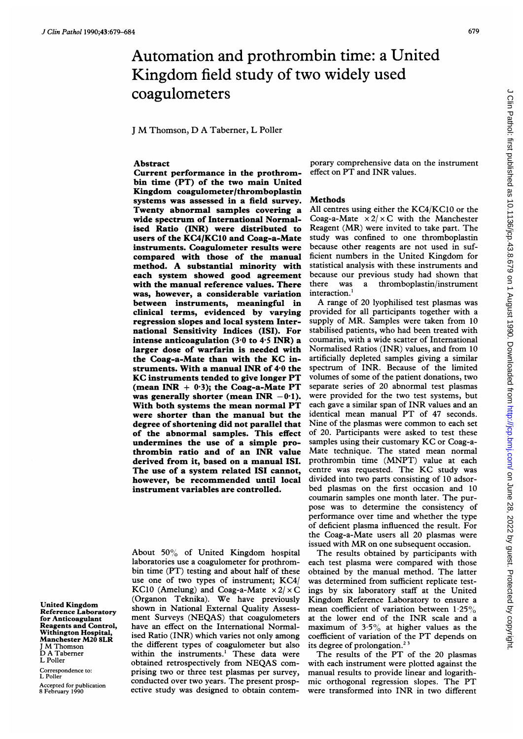# Automation and prothrombin time: a United Kingdom field study of two widely used coagulometers

<sup>J</sup> M Thomson, D A Taberner, <sup>L</sup> Poller

## Abstract

Current performance in the prothrombin time (PT) of the two main United Kingdom coagulometer/thromboplastin systems was assessed in a field survey. Twenty abnormal samples covering a wide spectrum of International Normalised Ratio (INR) were distributed to users of the KC4/KC1O and Coag-a-Mate instruments. Coagulometer results were compared with those of the manual method. A substantial minority with each system showed good agreement with the manual reference values. There was, however, a considerable variation between instruments, meaningful in clinical terms, evidenced by varying regression slopes and local system International Sensitivity Indices (ISI). For intense anticoagulation  $(3.0 \text{ to } 4.5 \text{ INR})$  a larger dose of warfarin is needed with the Coag-a-Mate than with the KC instruments. With a manual INR of  $4.0$  the KC instruments tended to give longer PT (mean INR  $+ 0.3$ ); the Coag-a-Mate PT was generally shorter (mean INR  $-0.1$ ). With both systems the mean normal PT were shorter than the manual but the degree of shortening did not parallel that of the abnormal samples. This effect undermines the use of a simple prothrombin ratio and of an INR value derived from it, based on a manual ISI. The use of a system related ISI cannot, however, be recommended until local instrument variables are controlled.

About 50% of United Kingdom hospital laboratories use a coagulometer for prothrombin time (PT) testing and about half of these use one of two types of instrument; KC4/ KC10 (Amelung) and Coag-a-Mate  $\times 2/\times C$ (Organon Teknika). We have previously shown in National External Quality Assessment Surveys (NEQAS) that coagulometers have an effect on the International Normalised Ratio (INR) which varies not only among the different types of coagulometer but also within the instruments.' These data were obtained retrospectively from NEQAS comprising two or three test plasmas per survey, conducted over two years. The present prospective study was designed to obtain contemporary comprehensive data on the instrument effect on PT and INR values.

#### Methods

All centres using either the KC4/KC1O or the Coag-a-Mate  $\times 2/\times$ C with the Manchester Reagent (MR) were invited to take part. The study was confined to one thromboplastin because other reagents are not used in sufficient numbers in the United Kingdom for statistical analysis with these instruments and because our previous study had shown that<br>there was a thromboplastin/instrument a thromboplastin/instrument interaction.'

A range of <sup>20</sup> lyophilised test plasmas was provided for all participants together with a supply of MR. Samples were taken from <sup>10</sup> stabilised patients, who had been treated with coumarin, with a wide scatter of International Normalised Ratios (INR) values, and from 10 artificially depleted samples giving a similar spectrum of INR. Because of the limited volumes of some of the patient donations, two separate series of 20 abnormal test plasmas were provided for the two test systems, but each gave <sup>a</sup> similar span of INR values and an identical mean manual PT of 47 seconds. Nine of the plasmas were common to each set of 20. Participants were asked to test these samples using their customary KC or Coag-a-Mate technique. The stated mean normal prothrombin time (MNPT) value at each centre was requested. The KC study was divided into two parts consisting of 10 adsorbed plasmas on the first occasion and 10 coumarin samples one month later. The purpose was to determine the consistency of performance over time and whether the type of deficient plasma influenced the result. For the Coag-a-Mate users all 20 plasmas were issued with MR on one subsequent occasion.

The results obtained by participants with each test plasma were compared with those obtained by the manual method. The latter was determined from sufficient replicate testings by six laboratory staff at the United Kingdom Reference Laboratory to ensure a mean coefficient of variation between  $1.25\%$ at the lower end of the INR scale and <sup>a</sup> maximum of  $3.5\%$  at higher values as the coefficient of variation of the PT depends on its degree of prolongation.<sup>2</sup>

The results of the PT of the 20 plasmas with each instrument were plotted against the manual results to provide linear and logarithmic orthogonal regression slopes. The PT were transformed into INR in two different

United Kingdom Reference Laboratory for Anticoagulant Reagents and Control, Withington Hospital, Manchester M20 8LR <sup>J</sup> M Thomson D A Taberner L Poller

Correspondence to: L Poller

Accepted for publication 8 February 1990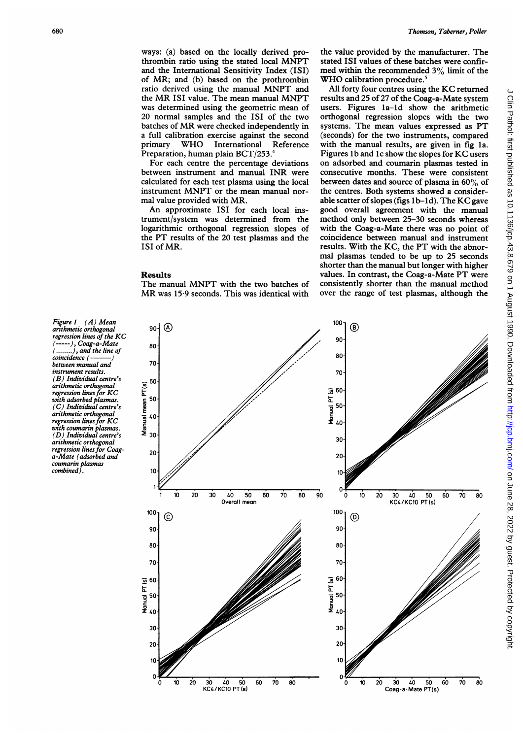ways: (a) based on the locally derived prothrombin ratio using the stated local MNPT and the International Sensitivity Index (ISI) of MR; and (b) based on the prothrombin ratio derived using the manual MNPT and the MR ISI value. The mean manual MNPT was determined using the geometric mean of 20 normal samples and the ISI of the two batches of MR were checked independently in a full calibration exercise against the second primary WHO International Reference Preparation, human plain BCT/253.'

For each centre the percentage deviations between instrument and manual INR were calculated for each test plasma using the local instrument MNPT or the mean manual normal value provided with MR.

An approximate ISI for each local instrument/system was determined from the logarithmic orthogonal regression slopes of the PT results of the 20 test plasmas and the ISI of MR.

#### Results

The manual MNPT with the two batches of MR was 15-9 seconds. This was identical with

the value provided by the manufacturer. The stated ISI values of these batches were confirmed within the recommended 3% limit of the WHO calibration procedure.<sup>5</sup>

All forty four centres using the KC returned results and 25 of 27 of the Coag-a-Mate system users. Figures la-ld show the arithmetic orthogonal regression slopes with the two systems. The mean values expressed as PT (seconds) for the two instruments, compared with the manual results, are given in fig la. Figures lb and Ic show the slopes for KC users on adsorbed and coumarin plasmas tested in consecutive months. These were consistent between dates and source of plasma in  $60\%$  of the centres. Both systems showed a considerable scatter of slopes (figs 1b-1d). The KC gave good overall agreement with the manual method only between 25-30 seconds whereas with the Coag-a-Mate there was no point of coincidence between manual and instrument results. With the KC, the PT with the abnormal plasmas tended to be up to 25 seconds shorter than the manual but longer with higher values. In contrast, the Coag-a-Mate PT were consistently shorter than the manual method over the range of test plasmas, although the

Figure 1 (A) Mean arithmetic orthogonal regression lines of the KC (-----), Coag-a-Mate<br>(........), and the line of<br>coincidence (------------) between manual and instrument results. (B) Individual centre's arithmetic orthogonal regression lines for KC with adsorbed plasmas. (C) Individual centre's arithmetic orthogonal regression lines for KC with coumarin plasmas. (D) Individual centre's arithmetic orthogonal regression lines for Coag-a-Mate (adsorbed and coumarin plasmas combined).

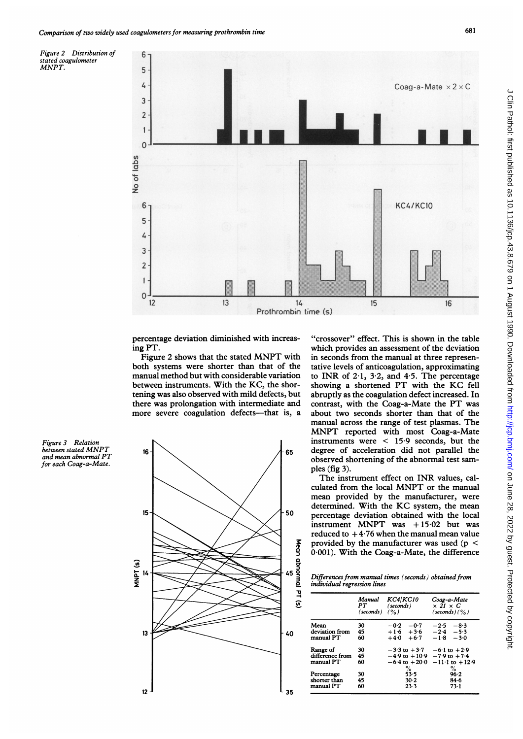6

Figure 2 Distribution of stated coagulometer MNPT.



percentage deviation diminished with increasing PT.

Figure <sup>2</sup> shows that the stated MNPT with both systems were shorter than that of the manual method but with considerable variation between instruments. With the KC, the shortening was also observed with mild defects, but there was prolongation with intermediate and more severe coagulation defects-that is, a

Figure 3 Relation between stated MNPT and mean abnormal PT for each Coag-a-Mate.



"crossover" effect. This is shown in the table which provides an assessment of the deviation in seconds from the manual at three representative levels of anticoagulation, approximating to INR of  $2.1$ ,  $3.2$ , and  $4.5$ . The percentage showing <sup>a</sup> shortened PT with the KC fell abruptly as the coagulation defect increased. In contrast, with the Coag-a-Mate the PT was about two seconds shorter than that of the manual across the range of test plasmas. The MNPT reported with most Coag-a-Mate instruments were < 15-9 seconds, but the degree of acceleration did not parallel the observed shortening of the abnormal test samples (fig 3).

The instrument effect on INR values, calculated from the local MNPT or the manual mean provided by the manufacturer, were determined. With the KC system, the mean percentage deviation obtained with the local instrument MNPT was  $+15.02$  but was reduced to  $+4.76$  when the manual mean value provided by the manufacturer was used ( $p <$ 0 001). With the Coag-a-Mate, the difference

Differences from manual times (seconds) obtained from individual regression lines

|                                          | Manual<br>PT<br>(seconds) | <b>KC4/KC10</b><br>(seconds)<br>$($ %)                                    | Coag-a-Mate<br>$\times$ 21 $\times$ C<br>$(\mathsf{seconds})\left(\frac{0}{0}\right)$ |
|------------------------------------------|---------------------------|---------------------------------------------------------------------------|---------------------------------------------------------------------------------------|
| Mean<br>deviation from<br>manual PT      | 30<br>45<br>60            | $-0.2$<br>$-0.7$<br>$+1.6 + 3.6$<br>$+6.7$<br>$+4.0$                      | $-2.5$<br>$-8.3$<br>$-2.4$<br>$-5.3$<br>$-3.0$<br>$-1.8$                              |
| Range of<br>difference from<br>manual PT | 30<br>45<br>60            | $-3.3$ to $+3.7$<br>$-4.9$ to $+10.9$<br>$-6.4 \text{ to } +20.0$<br>$\%$ | $-6.1$ to $+2.9$<br>$-7.9$ to $+7.4$<br>$-11.1$ to $+12.9$                            |
| Percentage<br>shorter than<br>manual PT  | 30<br>45<br>60            | 53.5<br>$30-2$<br>23.3                                                    | $\%$<br>96.2<br>84.6<br>73-1                                                          |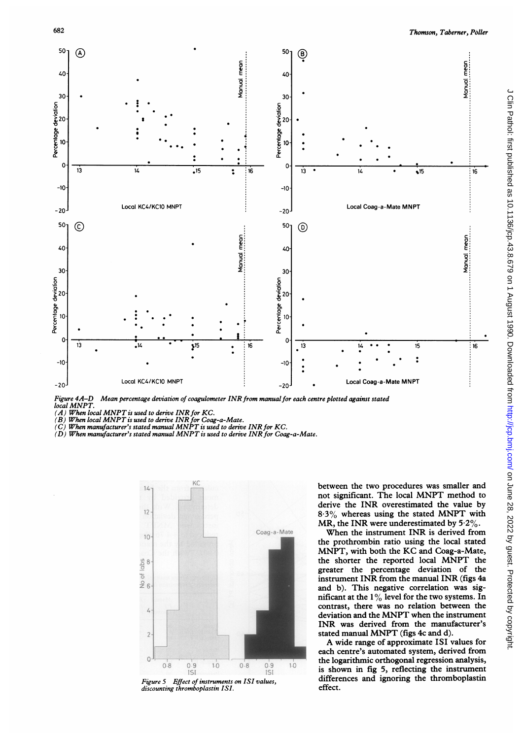

Mean percentage deviation of coagulometer INR from manual for each centre plotted against stated Figure 4A-D<br>local MNPT.

 $(A)$  When local MNPT is used to derive INR for KC.

 $(B)$  When local MNPT is used to derive INR for Coag-a-Mate.

 $(C)$  When manufacturer's stated manual MNPT is used to derive INR for KC.

 $\overline{(D)}$  When manufacturer's stated manual MNPT is used to derive INR for Coag-a-Mate.



Figure 5 Effect of instruments on ISI values, discounting thromboplastin ISI.

between the two procedures was smaller and not significant. The local MNPT method to derive the INR overestimated the value by  $8.3\%$  whereas using the stated MNPT with MR, the INR were underestimated by  $5.2\%$ .

When the instrument INR is derived from the prothrombin ratio using the local stated MNPT, with both the KC and Coag-a-Mate, the shorter the reported local MNPT the greater the percentage deviation of the instrument INR from the manual INR (figs 4a and b). This negative correlation was significant at the 1% level for the two systems. In contrast, there was no relation between the deviation and the MNPT when the instrument INR was derived from the manufacturer's stated manual MNPT (figs 4c and d).

A wide range of approximate ISI values for each centre's automated system, derived from the logarithmic orthogonal regression analysis, is shown in fig 5, reflecting the instrument differences and ignoring the thromboplastin effect.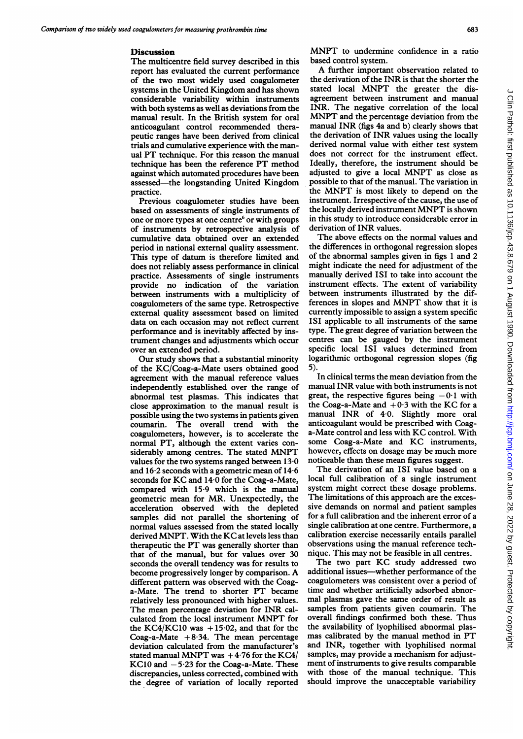### **Discussion**

The multicentre field survey described in this report has evaluated the current performance of the two most widely used coagulometer systems in the United Kingdom and has shown considerable variability within instruments with both systems as well as deviations from the manual result. In the British system for oral anticoagulant control recommended therapeutic ranges have been derived from clinical trials and cumulative experience with the manual PT technique. For this reason the manual technique has been the reference PT method against which automated procedures have been assessed-the longstanding United Kingdom practice.

Previous coagulometer studies have been based on assessments of single instruments of one or more types at one centre' or with groups of instruments by retrospective analysis of cumulative data obtained over an extended period in national external quality assessment. This type of datum is therefore limited and does not reliably assess performance in clinical practice. Assessments of single instruments provide no indication of the variation between instruments with a multiplicity of coagulometers of the same type. Retrospective external quality assessment based on limited data on each occasion may not reflect current performance and is inevitably affected by instrument changes and adjustments which occur over an extended period.

Our study shows that a substantial minority of the KC/Coag-a-Mate users obtained good agreement with the manual reference values independently established over the range of abnormal test plasmas. This indicates that close approximation to the manual result is possible using the two systems in patients given coumarin. The overall trend with the coagulometers, however, is to accelerate the normal PT, although the extent varies considerably among centres. The stated MNPT values for the two systems ranged between 13-0 and 16-2 seconds with a geometric mean of 14-6 seconds for KC and 14-0 for the Coag-a-Mate, compared with 15-9 which is the manual geometric mean for MR. Unexpectedly, the acceleration observed with the depleted samples did not parallel the shortening of normal values assessed from the stated locally derived MNPT. With the KC at levels less than therapeutic the PT was generally shorter than that of the manual, but for values over 30 seconds the overall tendency was for results to become progressively longer by comparison. A different pattern was observed with the Coaga-Mate. The trend to shorter PT became relatively less pronounced with higher values. The mean percentage deviation for INR calculated from the local instrument MNPT for the KC4/KC10 was  $+15.02$ , and that for the Coag-a-Mate  $+8.34$ . The mean percentage deviation calculated from the manufacturer's stated manual MNPT was  $+4.76$  for the KC4/ KC10 and  $-5.23$  for the Coag-a-Mate. These discrepancies, unless corrected, combined with the degree of variation of locally reported

MNPT to undermine confidence in <sup>a</sup> ratio based control system.

A further important observation related to the derivation of the INR is that the shorter the stated local MNPT the greater the disagreement between instrument and manual INR. The negative correlation of the local MNPT and the percentage deviation from the manual INR (figs 4a and b) clearly shows that the derivation of INR values using the locally derived normal value with either test system does not correct for the instrument effect. Ideally, therefore, the instrument should be adjusted to give <sup>a</sup> local MNPT as close as possible to that of the manual. The variation in the MNPT is most likely to depend on the instrument. Irrespective of the cause, the use of the locally derived instrument MNPT is shown in this study to introduce considerable error in derivation of INR values.

The above effects on the normal values and the differences in orthogonal regression slopes of the abnormal samples given in figs <sup>1</sup> and 2 might indicate the need for adjustment of the manually derived ISI to take into account the instrument effects. The extent of variability between instruments illustrated by the differences in slopes and MNPT show that it is currently impossible to assign a system specific ISI applicable to all instruments of the same type. The great degree of variation between the centres can be gauged by the instrument specific local ISI values determined from logarithmic orthogonal regression slopes (fig 5).

In clinical terms the mean deviation from the manual INR value with both instruments is not great, the respective figures being  $-0.1$  with the Coag-a-Mate and  $+0.3$  with the KC for a manual INR of 4-0. Slightly more oral anticoagulant would be prescribed with Coaga-Mate control and less with KC control. With some Coag-a-Mate and KC instruments, however, effects on dosage may be much more noticeable than these mean figures suggest.

The derivation of an ISI value based on a local full calibration of a single instrument system might correct these dosage problems. The limitations of this approach are the excessive demands on normal and patient samples for a full calibration and the inherent error of a single calibration at one centre. Furthermore, a calibration exercise necessarily entails parallel observations using the manual reference technique. This may not be feasible in all centres.

The two part KC study addressed two additional issues-whether performance of the coagulometers was consistent over a period of time and whether artificially adsorbed abnormal plasmas gave the same order of result as samples from patients given coumarin. The overall findings confirmed both these. Thus the availability of lyophilised abnormal plasmas calibrated by the manual method in PT and INR, together with lyophilised normal samples, may provide a mechanism for adjustment of instruments to give results comparable with those of the manual technique. This should improve the unacceptable variability